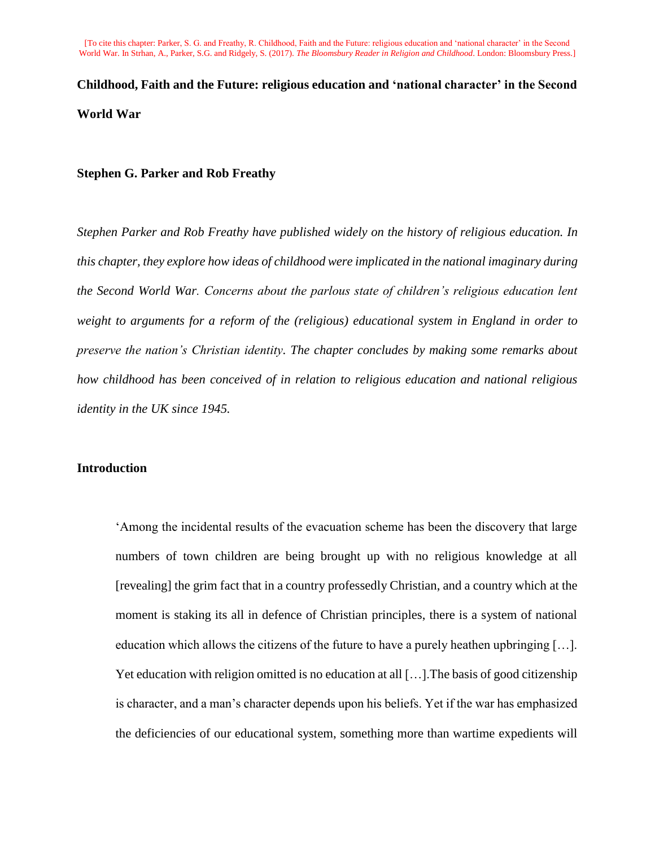# **Childhood, Faith and the Future: religious education and 'national character' in the Second World War**

## **Stephen G. Parker and Rob Freathy**

*Stephen Parker and Rob Freathy have published widely on the history of religious education. In this chapter, they explore how ideas of childhood were implicated in the national imaginary during the Second World War. Concerns about the parlous state of children's religious education lent weight to arguments for a reform of the (religious) educational system in England in order to preserve the nation's Christian identity. The chapter concludes by making some remarks about how childhood has been conceived of in relation to religious education and national religious identity in the UK since 1945.*

# **Introduction**

'Among the incidental results of the evacuation scheme has been the discovery that large numbers of town children are being brought up with no religious knowledge at all [revealing] the grim fact that in a country professedly Christian, and a country which at the moment is staking its all in defence of Christian principles, there is a system of national education which allows the citizens of the future to have a purely heathen upbringing […]. Yet education with religion omitted is no education at all […].The basis of good citizenship is character, and a man's character depends upon his beliefs. Yet if the war has emphasized the deficiencies of our educational system, something more than wartime expedients will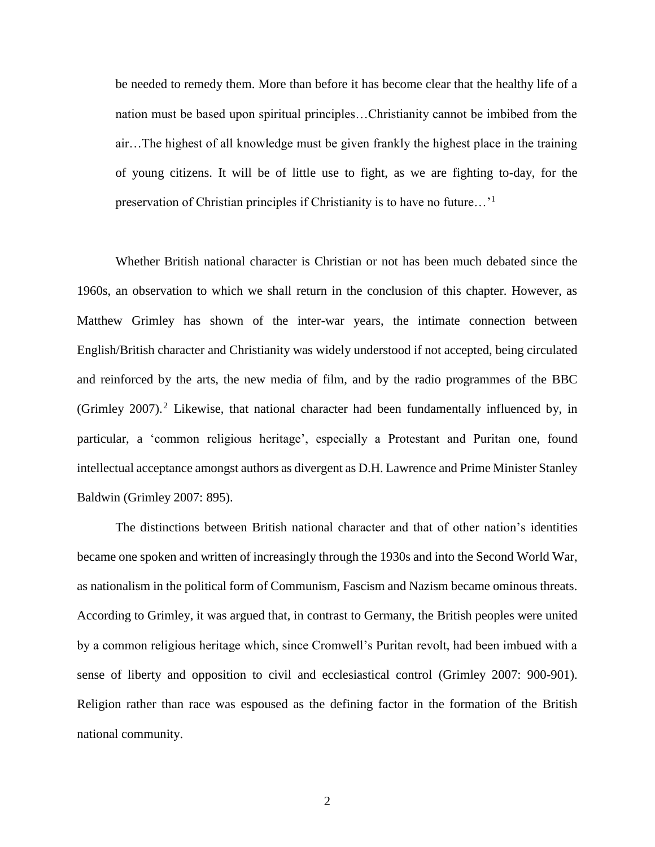be needed to remedy them. More than before it has become clear that the healthy life of a nation must be based upon spiritual principles…Christianity cannot be imbibed from the air…The highest of all knowledge must be given frankly the highest place in the training of young citizens. It will be of little use to fight, as we are fighting to-day, for the preservation of Christian principles if Christianity is to have no future...'<sup>1</sup>

Whether British national character is Christian or not has been much debated since the 1960s, an observation to which we shall return in the conclusion of this chapter. However, as Matthew Grimley has shown of the inter-war years, the intimate connection between English/British character and Christianity was widely understood if not accepted, being circulated and reinforced by the arts, the new media of film, and by the radio programmes of the BBC (Grimley 2007).<sup>2</sup> Likewise, that national character had been fundamentally influenced by, in particular, a 'common religious heritage', especially a Protestant and Puritan one, found intellectual acceptance amongst authors as divergent as D.H. Lawrence and Prime Minister Stanley Baldwin (Grimley 2007: 895).

The distinctions between British national character and that of other nation's identities became one spoken and written of increasingly through the 1930s and into the Second World War, as nationalism in the political form of Communism, Fascism and Nazism became ominous threats. According to Grimley, it was argued that, in contrast to Germany, the British peoples were united by a common religious heritage which, since Cromwell's Puritan revolt, had been imbued with a sense of liberty and opposition to civil and ecclesiastical control (Grimley 2007: 900-901). Religion rather than race was espoused as the defining factor in the formation of the British national community.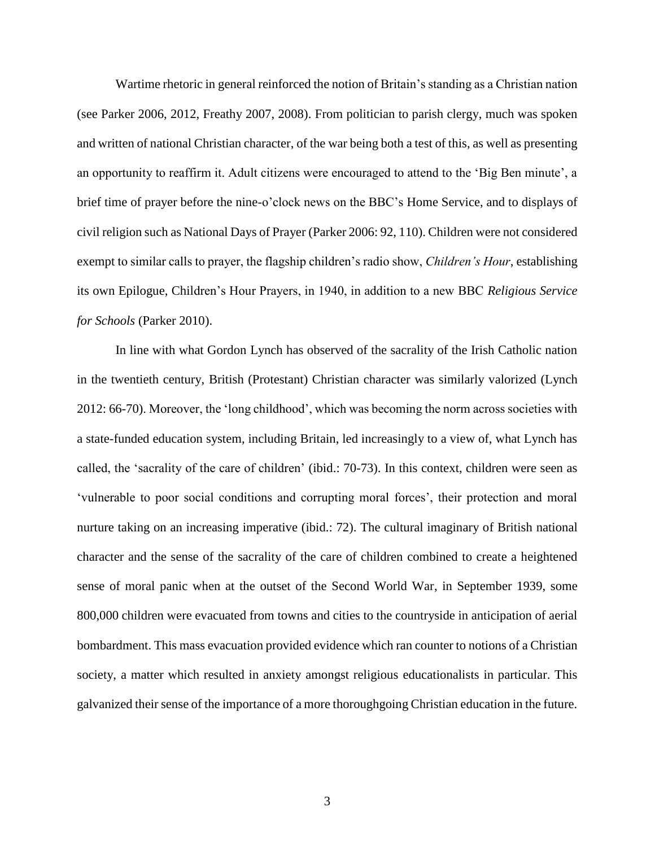Wartime rhetoric in general reinforced the notion of Britain's standing as a Christian nation (see Parker 2006, 2012, Freathy 2007, 2008). From politician to parish clergy, much was spoken and written of national Christian character, of the war being both a test of this, as well as presenting an opportunity to reaffirm it. Adult citizens were encouraged to attend to the 'Big Ben minute', a brief time of prayer before the nine-o'clock news on the BBC's Home Service, and to displays of civil religion such as National Days of Prayer (Parker 2006: 92, 110). Children were not considered exempt to similar calls to prayer, the flagship children's radio show, *Children's Hour*, establishing its own Epilogue, Children's Hour Prayers, in 1940, in addition to a new BBC *Religious Service for Schools* (Parker 2010).

In line with what Gordon Lynch has observed of the sacrality of the Irish Catholic nation in the twentieth century, British (Protestant) Christian character was similarly valorized (Lynch 2012: 66-70). Moreover, the 'long childhood', which was becoming the norm across societies with a state-funded education system, including Britain, led increasingly to a view of, what Lynch has called, the 'sacrality of the care of children' (ibid.: 70-73). In this context, children were seen as 'vulnerable to poor social conditions and corrupting moral forces', their protection and moral nurture taking on an increasing imperative (ibid.: 72). The cultural imaginary of British national character and the sense of the sacrality of the care of children combined to create a heightened sense of moral panic when at the outset of the Second World War, in September 1939, some 800,000 children were evacuated from towns and cities to the countryside in anticipation of aerial bombardment. This mass evacuation provided evidence which ran counter to notions of a Christian society, a matter which resulted in anxiety amongst religious educationalists in particular. This galvanized theirsense of the importance of a more thoroughgoing Christian education in the future.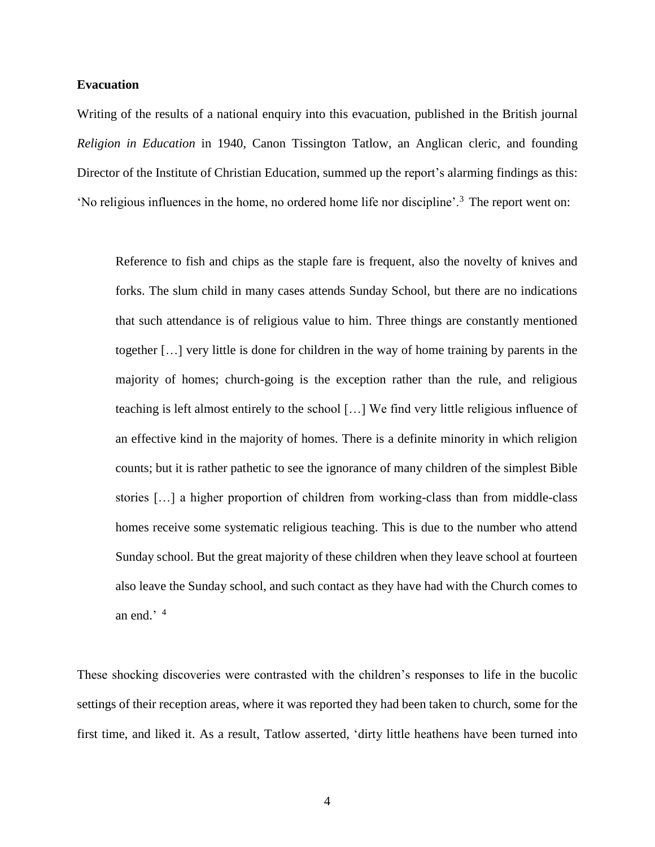#### **Evacuation**

Writing of the results of a national enquiry into this evacuation, published in the British journal *Religion in Education* in 1940, Canon Tissington Tatlow, an Anglican cleric, and founding Director of the Institute of Christian Education, summed up the report's alarming findings as this: 'No religious influences in the home, no ordered home life nor discipline'.<sup>3</sup> The report went on:

Reference to fish and chips as the staple fare is frequent, also the novelty of knives and forks. The slum child in many cases attends Sunday School, but there are no indications that such attendance is of religious value to him. Three things are constantly mentioned together […] very little is done for children in the way of home training by parents in the majority of homes; church-going is the exception rather than the rule, and religious teaching is left almost entirely to the school […] We find very little religious influence of an effective kind in the majority of homes. There is a definite minority in which religion counts; but it is rather pathetic to see the ignorance of many children of the simplest Bible stories […] a higher proportion of children from working-class than from middle-class homes receive some systematic religious teaching. This is due to the number who attend Sunday school. But the great majority of these children when they leave school at fourteen also leave the Sunday school, and such contact as they have had with the Church comes to an end.' 4

These shocking discoveries were contrasted with the children's responses to life in the bucolic settings of their reception areas, where it was reported they had been taken to church, some for the first time, and liked it. As a result, Tatlow asserted, 'dirty little heathens have been turned into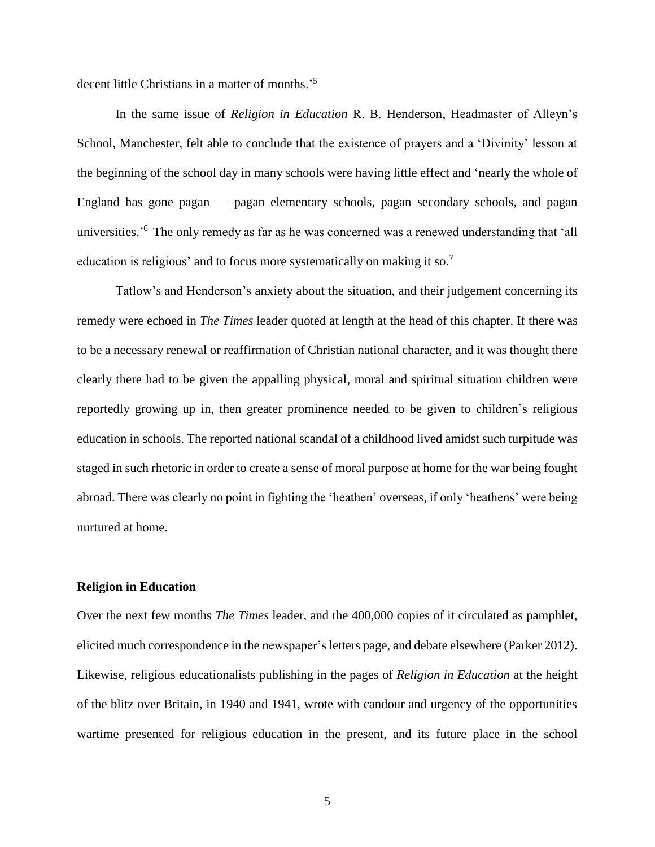decent little Christians in a matter of months.'<sup>5</sup>

In the same issue of *Religion in Education* R. B. Henderson, Headmaster of Alleyn's School, Manchester, felt able to conclude that the existence of prayers and a 'Divinity' lesson at the beginning of the school day in many schools were having little effect and 'nearly the whole of England has gone pagan — pagan elementary schools, pagan secondary schools, and pagan universities.' <sup>6</sup> The only remedy as far as he was concerned was a renewed understanding that 'all education is religious' and to focus more systematically on making it so.<sup>7</sup>

Tatlow's and Henderson's anxiety about the situation, and their judgement concerning its remedy were echoed in *The Times* leader quoted at length at the head of this chapter. If there was to be a necessary renewal or reaffirmation of Christian national character, and it was thought there clearly there had to be given the appalling physical, moral and spiritual situation children were reportedly growing up in, then greater prominence needed to be given to children's religious education in schools. The reported national scandal of a childhood lived amidst such turpitude was staged in such rhetoric in order to create a sense of moral purpose at home for the war being fought abroad. There was clearly no point in fighting the 'heathen' overseas, if only 'heathens' were being nurtured at home.

#### **Religion in Education**

Over the next few months *The Times* leader, and the 400,000 copies of it circulated as pamphlet, elicited much correspondence in the newspaper's letters page, and debate elsewhere (Parker 2012). Likewise, religious educationalists publishing in the pages of *Religion in Education* at the height of the blitz over Britain, in 1940 and 1941, wrote with candour and urgency of the opportunities wartime presented for religious education in the present, and its future place in the school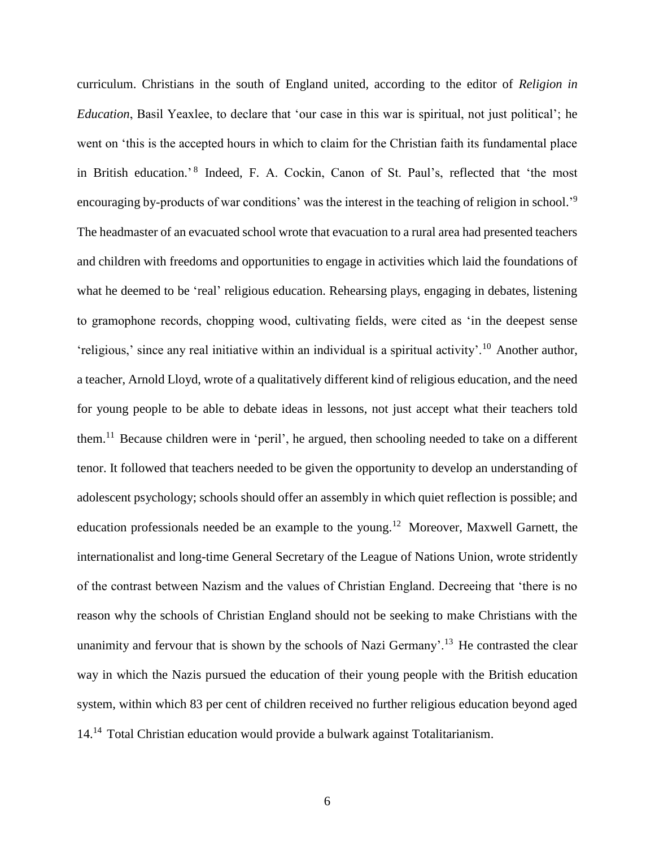curriculum. Christians in the south of England united, according to the editor of *Religion in Education*, Basil Yeaxlee, to declare that 'our case in this war is spiritual, not just political'; he went on 'this is the accepted hours in which to claim for the Christian faith its fundamental place in British education.' 8 Indeed, F. A. Cockin, Canon of St. Paul's, reflected that 'the most encouraging by-products of war conditions' was the interest in the teaching of religion in school.'<sup>9</sup> The headmaster of an evacuated school wrote that evacuation to a rural area had presented teachers and children with freedoms and opportunities to engage in activities which laid the foundations of what he deemed to be 'real' religious education. Rehearsing plays, engaging in debates, listening to gramophone records, chopping wood, cultivating fields, were cited as 'in the deepest sense 'religious,' since any real initiative within an individual is a spiritual activity'.<sup>10</sup> Another author, a teacher, Arnold Lloyd, wrote of a qualitatively different kind of religious education, and the need for young people to be able to debate ideas in lessons, not just accept what their teachers told them.<sup>11</sup> Because children were in 'peril', he argued, then schooling needed to take on a different tenor. It followed that teachers needed to be given the opportunity to develop an understanding of adolescent psychology; schools should offer an assembly in which quiet reflection is possible; and education professionals needed be an example to the young.<sup>12</sup> Moreover, Maxwell Garnett, the internationalist and long-time General Secretary of the League of Nations Union, wrote stridently of the contrast between Nazism and the values of Christian England. Decreeing that 'there is no reason why the schools of Christian England should not be seeking to make Christians with the unanimity and fervour that is shown by the schools of Nazi Germany'.<sup>13</sup> He contrasted the clear way in which the Nazis pursued the education of their young people with the British education system, within which 83 per cent of children received no further religious education beyond aged 14.<sup>14</sup> Total Christian education would provide a bulwark against Totalitarianism.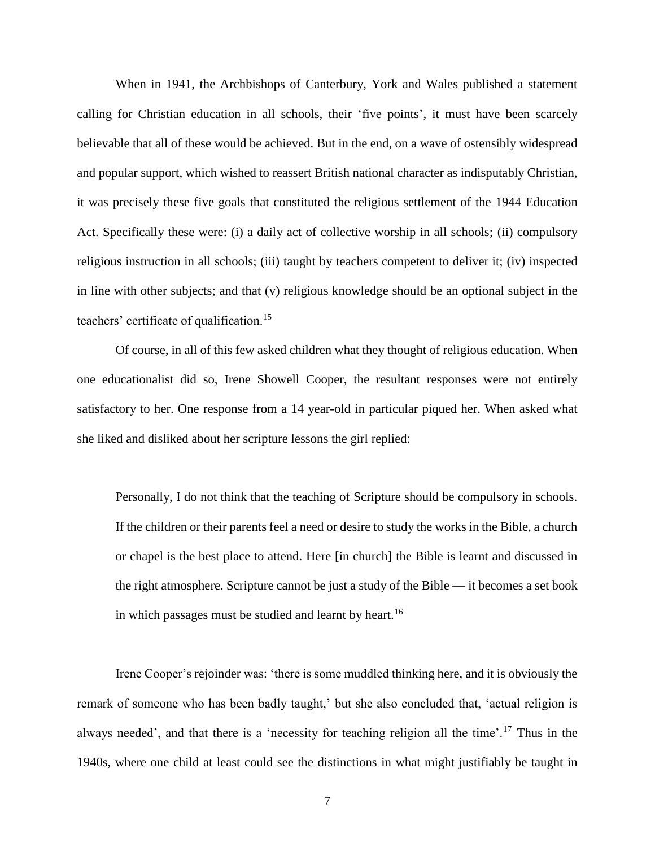When in 1941, the Archbishops of Canterbury, York and Wales published a statement calling for Christian education in all schools, their 'five points', it must have been scarcely believable that all of these would be achieved. But in the end, on a wave of ostensibly widespread and popular support, which wished to reassert British national character as indisputably Christian, it was precisely these five goals that constituted the religious settlement of the 1944 Education Act. Specifically these were: (i) a daily act of collective worship in all schools; (ii) compulsory religious instruction in all schools; (iii) taught by teachers competent to deliver it; (iv) inspected in line with other subjects; and that (v) religious knowledge should be an optional subject in the teachers' certificate of qualification.<sup>15</sup>

Of course, in all of this few asked children what they thought of religious education. When one educationalist did so, Irene Showell Cooper, the resultant responses were not entirely satisfactory to her. One response from a 14 year-old in particular piqued her. When asked what she liked and disliked about her scripture lessons the girl replied:

Personally, I do not think that the teaching of Scripture should be compulsory in schools. If the children or their parents feel a need or desire to study the works in the Bible, a church or chapel is the best place to attend. Here [in church] the Bible is learnt and discussed in the right atmosphere. Scripture cannot be just a study of the Bible — it becomes a set book in which passages must be studied and learnt by heart.<sup>16</sup>

Irene Cooper's rejoinder was: 'there is some muddled thinking here, and it is obviously the remark of someone who has been badly taught,' but she also concluded that, 'actual religion is always needed', and that there is a 'necessity for teaching religion all the time'.<sup>17</sup> Thus in the 1940s, where one child at least could see the distinctions in what might justifiably be taught in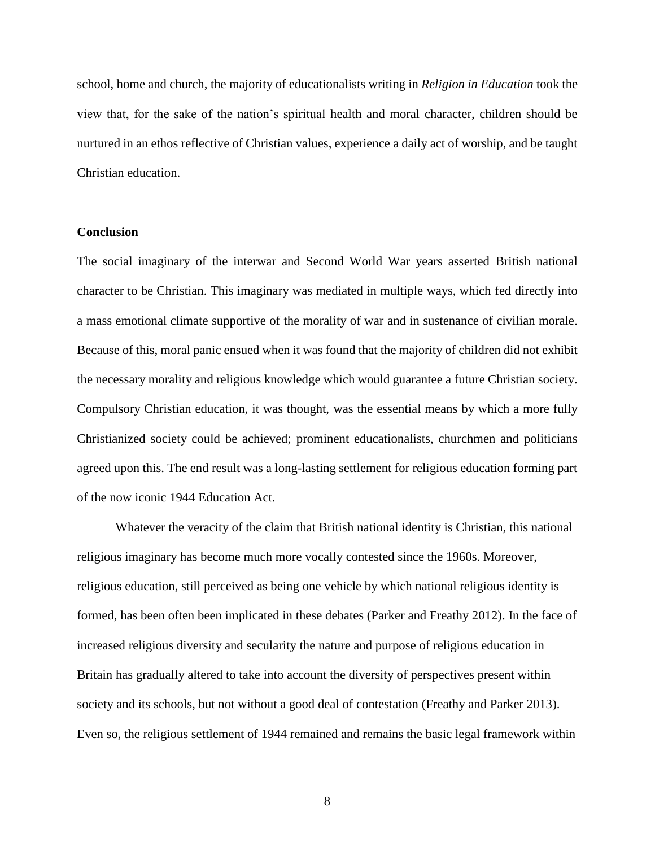school, home and church, the majority of educationalists writing in *Religion in Education* took the view that, for the sake of the nation's spiritual health and moral character, children should be nurtured in an ethos reflective of Christian values, experience a daily act of worship, and be taught Christian education.

### **Conclusion**

The social imaginary of the interwar and Second World War years asserted British national character to be Christian. This imaginary was mediated in multiple ways, which fed directly into a mass emotional climate supportive of the morality of war and in sustenance of civilian morale. Because of this, moral panic ensued when it was found that the majority of children did not exhibit the necessary morality and religious knowledge which would guarantee a future Christian society. Compulsory Christian education, it was thought, was the essential means by which a more fully Christianized society could be achieved; prominent educationalists, churchmen and politicians agreed upon this. The end result was a long-lasting settlement for religious education forming part of the now iconic 1944 Education Act.

Whatever the veracity of the claim that British national identity is Christian, this national religious imaginary has become much more vocally contested since the 1960s. Moreover, religious education, still perceived as being one vehicle by which national religious identity is formed, has been often been implicated in these debates (Parker and Freathy 2012). In the face of increased religious diversity and secularity the nature and purpose of religious education in Britain has gradually altered to take into account the diversity of perspectives present within society and its schools, but not without a good deal of contestation (Freathy and Parker 2013). Even so, the religious settlement of 1944 remained and remains the basic legal framework within

8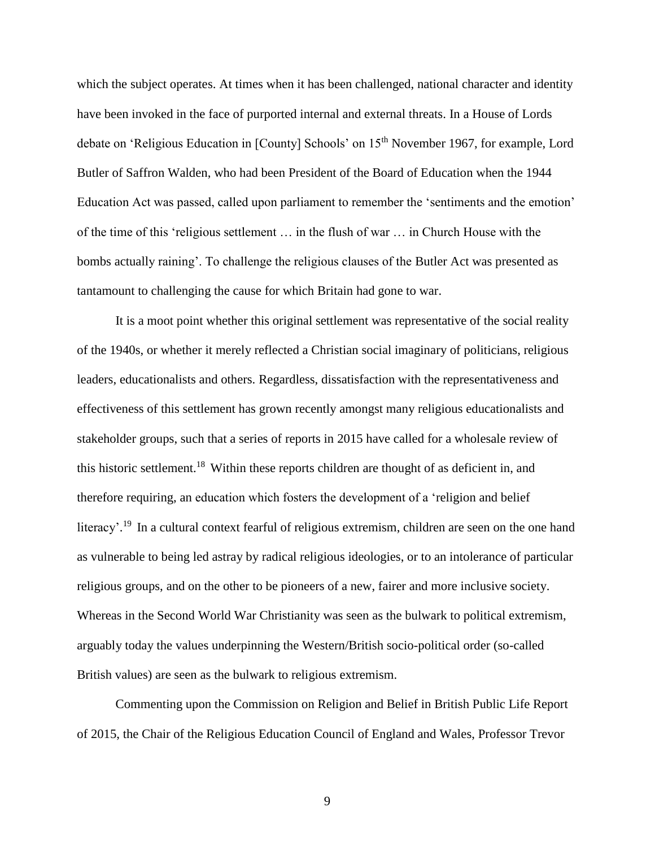which the subject operates. At times when it has been challenged, national character and identity have been invoked in the face of purported internal and external threats. In a House of Lords debate on 'Religious Education in [County] Schools' on 15<sup>th</sup> November 1967, for example, Lord Butler of Saffron Walden, who had been President of the Board of Education when the 1944 Education Act was passed, called upon parliament to remember the 'sentiments and the emotion' of the time of this 'religious settlement … in the flush of war … in Church House with the bombs actually raining'. To challenge the religious clauses of the Butler Act was presented as tantamount to challenging the cause for which Britain had gone to war.

It is a moot point whether this original settlement was representative of the social reality of the 1940s, or whether it merely reflected a Christian social imaginary of politicians, religious leaders, educationalists and others. Regardless, dissatisfaction with the representativeness and effectiveness of this settlement has grown recently amongst many religious educationalists and stakeholder groups, such that a series of reports in 2015 have called for a wholesale review of this historic settlement.<sup>18</sup> Within these reports children are thought of as deficient in, and therefore requiring, an education which fosters the development of a 'religion and belief literacy'.<sup>19</sup> In a cultural context fearful of religious extremism, children are seen on the one hand as vulnerable to being led astray by radical religious ideologies, or to an intolerance of particular religious groups, and on the other to be pioneers of a new, fairer and more inclusive society. Whereas in the Second World War Christianity was seen as the bulwark to political extremism, arguably today the values underpinning the Western/British socio-political order (so-called British values) are seen as the bulwark to religious extremism.

Commenting upon the Commission on Religion and Belief in British Public Life Report of 2015, the Chair of the Religious Education Council of England and Wales, Professor Trevor

9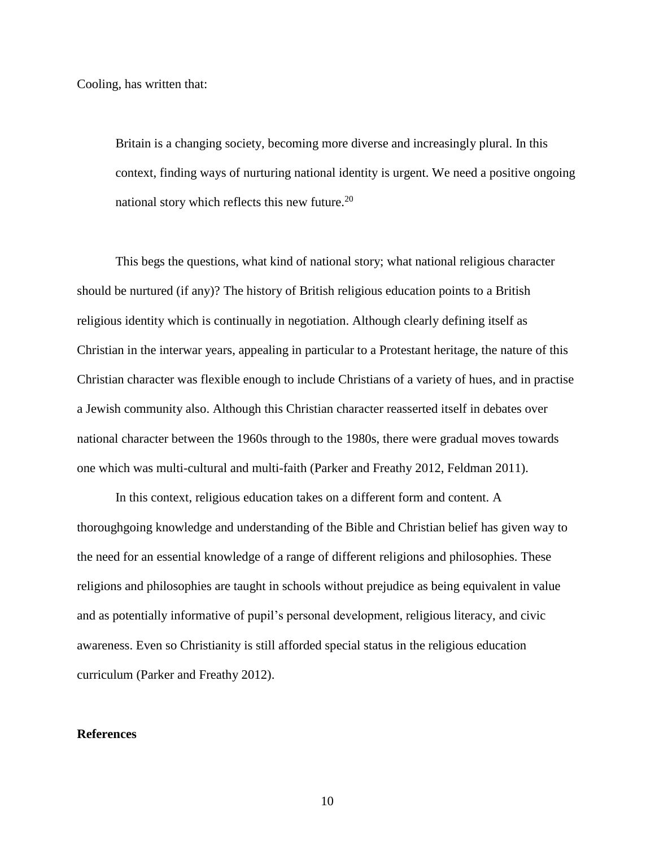Cooling, has written that:

Britain is a changing society, becoming more diverse and increasingly plural. In this context, finding ways of nurturing national identity is urgent. We need a positive ongoing national story which reflects this new future. $^{20}$ 

This begs the questions, what kind of national story; what national religious character should be nurtured (if any)? The history of British religious education points to a British religious identity which is continually in negotiation. Although clearly defining itself as Christian in the interwar years, appealing in particular to a Protestant heritage, the nature of this Christian character was flexible enough to include Christians of a variety of hues, and in practise a Jewish community also. Although this Christian character reasserted itself in debates over national character between the 1960s through to the 1980s, there were gradual moves towards one which was multi-cultural and multi-faith (Parker and Freathy 2012, Feldman 2011).

In this context, religious education takes on a different form and content. A thoroughgoing knowledge and understanding of the Bible and Christian belief has given way to the need for an essential knowledge of a range of different religions and philosophies. These religions and philosophies are taught in schools without prejudice as being equivalent in value and as potentially informative of pupil's personal development, religious literacy, and civic awareness. Even so Christianity is still afforded special status in the religious education curriculum (Parker and Freathy 2012).

#### **References**

10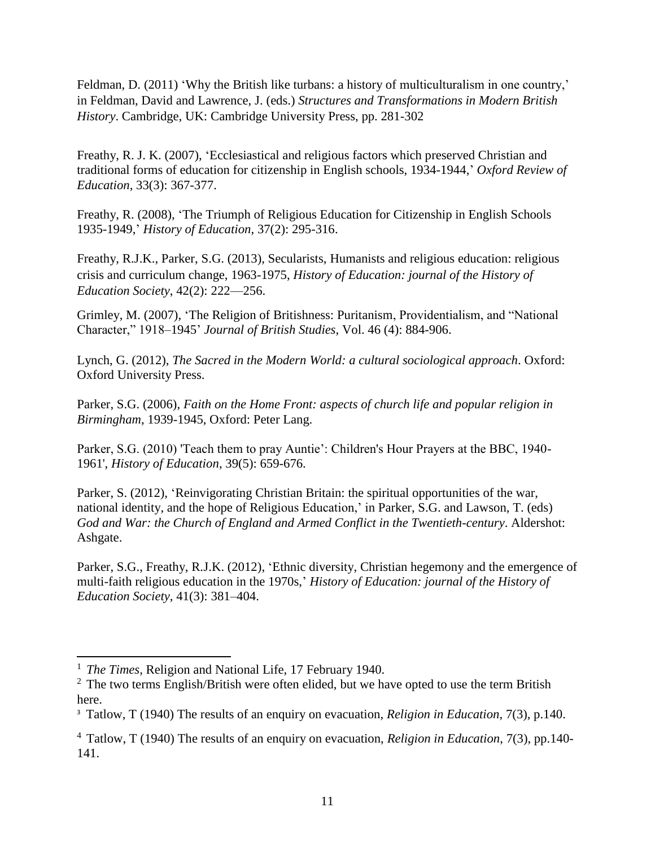Feldman, D. (2011) 'Why the British like turbans: a history of multiculturalism in one country,' in Feldman, David and Lawrence, J. (eds.) *Structures and Transformations in Modern British History*. Cambridge, UK: Cambridge University Press, pp. 281-302

Freathy, R. J. K. (2007), 'Ecclesiastical and religious factors which preserved Christian and traditional forms of education for citizenship in English schools, 1934-1944,' *Oxford Review of Education*, 33(3): 367-377.

Freathy, R. (2008), 'The Triumph of Religious Education for Citizenship in English Schools 1935-1949,' *History of Education*, 37(2): 295-316.

Freathy, R.J.K., Parker, S.G. (2013), Secularists, Humanists and religious education: religious crisis and curriculum change, 1963-1975, *History of Education: journal of the History of Education Society*, 42(2): 222—256.

Grimley, M. (2007), 'The Religion of Britishness: Puritanism, Providentialism, and "National Character," 1918–1945' *Journal of British Studies*, Vol. 46 (4): 884-906.

Lynch, G. (2012), *The Sacred in the Modern World: a cultural sociological approach*. Oxford: Oxford University Press.

Parker, S.G. (2006), *Faith on the Home Front: aspects of church life and popular religion in Birmingham*, 1939-1945, Oxford: Peter Lang.

Parker, S.G. (2010) 'Teach them to pray Auntie': Children's Hour Prayers at the BBC, 1940- 1961', *History of Education*, 39(5): 659-676.

Parker, S. (2012), 'Reinvigorating Christian Britain: the spiritual opportunities of the war, national identity, and the hope of Religious Education,' in Parker, S.G. and Lawson, T. (eds) *God and War: the Church of England and Armed Conflict in the Twentieth-century*. Aldershot: Ashgate.

Parker, S.G., Freathy, R.J.K. (2012), 'Ethnic diversity, Christian hegemony and the emergence of multi-faith religious education in the 1970s,' *History of Education: journal of the History of Education Society*, 41(3): 381–404.

 $\overline{a}$ 

<sup>&</sup>lt;sup>1</sup> *The Times*, Religion and National Life, 17 February 1940.

 $2\degree$  The two terms English/British were often elided, but we have opted to use the term British here.

<sup>3</sup> Tatlow, T (1940) The results of an enquiry on evacuation, *Religion in Education*, 7(3), p.140.

<sup>4</sup> Tatlow, T (1940) The results of an enquiry on evacuation, *Religion in Education*, 7(3), pp.140- 141.